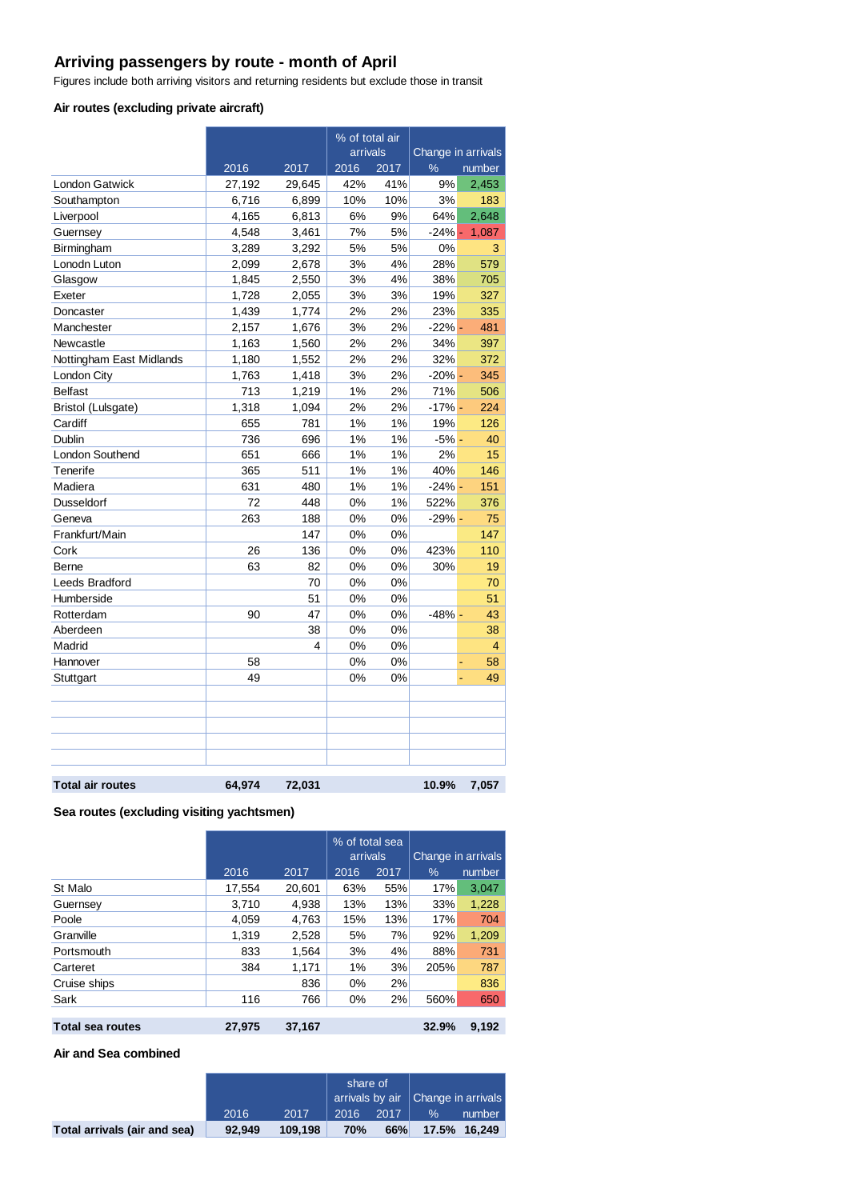## **Arriving passengers by route - month of April**

Figures include both arriving visitors and returning residents but exclude those in transit

## **Air routes (excluding private aircraft)**

|                          |        |        | % of total air |      |                    |                |
|--------------------------|--------|--------|----------------|------|--------------------|----------------|
|                          |        |        | arrivals       |      | Change in arrivals |                |
|                          | 2016   | 2017   | 2016           | 2017 | $\%$               | number         |
| <b>London Gatwick</b>    | 27,192 | 29,645 | 42%            | 41%  | 9%                 | 2,453          |
| Southampton              | 6,716  | 6,899  | 10%            | 10%  | 3%                 | 183            |
| Liverpool                | 4,165  | 6,813  | 6%             | 9%   | 64%                | 2,648          |
| Guernsey                 | 4,548  | 3,461  | 7%             | 5%   | $-24%$ -           | 1,087          |
| Birmingham               | 3,289  | 3,292  | 5%             | 5%   | 0%                 | 3              |
| Lonodn Luton             | 2,099  | 2,678  | 3%             | 4%   | 28%                | 579            |
| Glasgow                  | 1,845  | 2,550  | 3%             | 4%   | 38%                | 705            |
| Exeter                   | 1,728  | 2,055  | 3%             | 3%   | 19%                | 327            |
| Doncaster                | 1,439  | 1,774  | 2%             | 2%   | 23%                | 335            |
| Manchester               | 2,157  | 1,676  | 3%             | 2%   | $-22% -$           | 481            |
| Newcastle                | 1,163  | 1,560  | 2%             | 2%   | 34%                | 397            |
| Nottingham East Midlands | 1,180  | 1,552  | 2%             | 2%   | 32%                | 372            |
| London City              | 1,763  | 1,418  | 3%             | 2%   | $-20\%$ -          | 345            |
| <b>Belfast</b>           | 713    | 1,219  | 1%             | 2%   | 71%                | 506            |
| Bristol (Lulsgate)       | 1,318  | 1,094  | 2%             | 2%   | $-17% -$           | 224            |
| Cardiff                  | 655    | 781    | 1%             | 1%   | 19%                | 126            |
| Dublin                   | 736    | 696    | 1%             | 1%   | $-5% -$            | 40             |
| <b>London Southend</b>   | 651    | 666    | 1%             | 1%   | 2%                 | 15             |
| Tenerife                 | 365    | 511    | 1%             | 1%   | 40%                | 146            |
| Madiera                  | 631    | 480    | 1%             | 1%   | $-24%$ -           | 151            |
| <b>Dusseldorf</b>        | 72     | 448    | 0%             | 1%   | 522%               | 376            |
| Geneva                   | 263    | 188    | 0%             | 0%   | $-29\%$ -          | 75             |
| Frankfurt/Main           |        | 147    | 0%             | 0%   |                    | 147            |
| Cork                     | 26     | 136    | 0%             | 0%   | 423%               | 110            |
| Berne                    | 63     | 82     | 0%             | 0%   | 30%                | 19             |
| Leeds Bradford           |        | 70     | 0%             | 0%   |                    | 70             |
| Humberside               |        | 51     | 0%             | 0%   |                    | 51             |
| Rotterdam                | 90     | 47     | 0%             | 0%   | $-48%$ -           | 43             |
| Aberdeen                 |        | 38     | 0%             | 0%   |                    | 38             |
| Madrid                   |        | 4      | 0%             | 0%   |                    | $\overline{4}$ |
| Hannover                 | 58     |        | 0%             | 0%   |                    | 58<br>۳        |
| Stuttgart                | 49     |        | 0%             | 0%   |                    | 49             |
|                          |        |        |                |      |                    |                |
|                          |        |        |                |      |                    |                |
| <b>Total air routes</b>  | 64.974 | 72,031 |                |      | 10.9%              | 7,057          |

## **Sea routes (excluding visiting yachtsmen)**

|                         |        |        | % of total sea<br>arrivals |      | Change in arrivals |        |  |
|-------------------------|--------|--------|----------------------------|------|--------------------|--------|--|
|                         | 2016   | 2017   | 2016                       | 2017 | $\%$               | number |  |
| St Malo                 | 17.554 | 20.601 | 63%                        | 55%  | 17%                | 3.047  |  |
| Guernsey                | 3,710  | 4,938  | 13%                        | 13%  | 33%                | 1,228  |  |
| Poole                   | 4.059  | 4,763  | 15%                        | 13%  | 17%                | 704    |  |
| Granville               | 1.319  | 2,528  | 5%                         | 7%   | 92%                | 1,209  |  |
| Portsmouth              | 833    | 1,564  | 3%                         | 4%   | 88%                | 731    |  |
| Carteret                | 384    | 1.171  | 1%                         | 3%   | 205%               | 787    |  |
| Cruise ships            |        | 836    | 0%                         | 2%   |                    | 836    |  |
| Sark                    | 116    | 766    | 0%                         | 2%   | 560%               | 650    |  |
|                         |        |        |                            |      |                    |        |  |
| <b>Total sea routes</b> | 27,975 | 37.167 |                            |      | 32.9%              | 9,192  |  |

## **Air and Sea combined**

|                              |        |         | share of   |      | arrivals by air   Change in arrivals |              |
|------------------------------|--------|---------|------------|------|--------------------------------------|--------------|
|                              | 2016   | 2017    | 2016       | 2017 | $\frac{0}{2}$                        | number       |
| Total arrivals (air and sea) | 92.949 | 109.198 | <b>70%</b> | 66%  |                                      | 17.5% 16.249 |